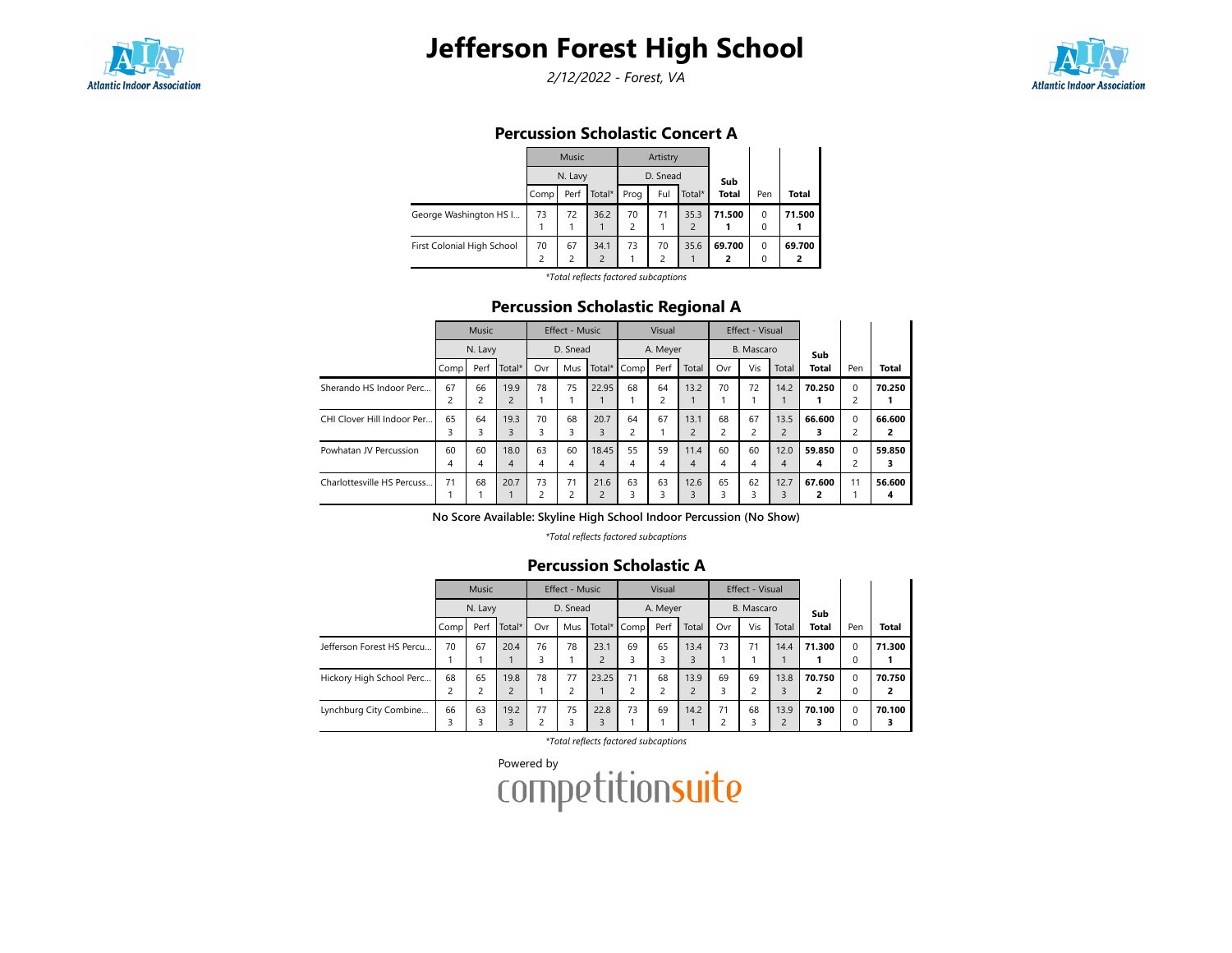

2/12/2022 - Forest, VA



### Percussion Scholastic Concert A

|                            |                         | Music   |                |                | Artistry                |                |              |          |              |
|----------------------------|-------------------------|---------|----------------|----------------|-------------------------|----------------|--------------|----------|--------------|
|                            |                         | N. Lavy |                |                | D. Snead                |                | Sub          |          |              |
|                            | Comp                    | Perf    | Total*         | Prog           | Ful                     | Total*         | <b>Total</b> | Pen      | <b>Total</b> |
| George Washington HS I     | 73                      | 72      | 36.2           | 70             | 71                      | 35.3           | 71.500       | $\Omega$ | 71.500       |
|                            |                         |         |                | $\overline{c}$ |                         | $\overline{2}$ |              | 0        |              |
| First Colonial High School | 70                      | 67      | 34.1           | 73             | 70                      | 35.6           | 69.700       | $\Omega$ | 69.700       |
|                            | $\overline{\mathbf{c}}$ | 2       | $\overline{2}$ |                | $\overline{\mathbf{c}}$ |                | 2            | $\Omega$ |              |
|                            |                         |         |                |                | .                       |                |              |          |              |

\*Total reflects factored subcaptions

### Percussion Scholastic Regional A

|                            |                | <b>Music</b> |                |     | Effect - Music |                |      | Visual   |                |     | Effect - Visual |                |              |                |              |
|----------------------------|----------------|--------------|----------------|-----|----------------|----------------|------|----------|----------------|-----|-----------------|----------------|--------------|----------------|--------------|
|                            |                | N. Lavy      |                |     | D. Snead       |                |      | A. Meyer |                |     | B. Mascaro      |                | Sub          |                |              |
|                            | Comp           | Perf         | Total*         | Ovr | Mus            | Total*         | Comp | Perf     | Total          | Ovr | Vis             | Total          | <b>Total</b> | Pen            | <b>Total</b> |
| Sherando HS Indoor Perc    | 67             | 66           | 19.9           | 78  | 75             | 22.95          | 68   | 64       | 13.2           | 70  | 72              | 14.2           | 70.250       | $\mathbf 0$    | 70.250       |
|                            | $\overline{c}$ | 2            | $\overline{c}$ |     |                |                |      |          |                |     |                 |                |              | $\overline{c}$ |              |
| CHI Clover Hill Indoor Per | 65             | 64           | 19.3           | 70  | 68             | 20.7           | 64   | 67       | 13.1           | 68  | 67              | 13.5           | 66.600       | $\Omega$       | 66.600       |
|                            | 3              | 3            | 3              | 3   | 3              | 3              | 2    |          | $\overline{2}$ |     |                 | $\overline{2}$ |              | 2              | 2            |
| Powhatan JV Percussion     | 60             | 60           | 18.0           | 63  | 60             | 18.45          | 55   | 59       | 11.4           | 60  | 60              | 12.0           | 59.850       | $\Omega$       | 59.850       |
|                            | 4              | 4            | 4              | 4   | 4              | 4              | 4    | 4        | 4              | 4   | 4               | 4              | 4            | 2              | з            |
| Charlottesville HS Percuss | 71             | 68           | 20.7           | 73  | 71             | 21.6           | 63   | 63       | 12.6           | 65  | 62              | 12.7           | 67.600       | 11             | 56.600       |
|                            |                |              |                | 2   | 2              | $\overline{2}$ | ς    | ς        | ς              |     |                 | 3              |              |                | 4            |

No Score Available: Skyline High School Indoor Percussion (No Show)

\*Total reflects factored subcaptions

#### Percussion Scholastic A

|                           |                               | Music   |                        |         | <b>Effect - Music</b> |                        |             | Visual   |       |         | Effect - Visual               |                        |              |                      |             |
|---------------------------|-------------------------------|---------|------------------------|---------|-----------------------|------------------------|-------------|----------|-------|---------|-------------------------------|------------------------|--------------|----------------------|-------------|
|                           |                               | N. Lavy |                        |         | D. Snead              |                        |             | A. Meyer |       |         | B. Mascaro                    |                        | Sub          |                      |             |
|                           | Comp                          | Perf    | Total*                 | Ovr     | Mus                   |                        | Total* Comp | Perf     | Total | Ovr     | Vis                           | Total                  | <b>Total</b> | Pen                  | Total       |
| Jefferson Forest HS Percu | 70                            | 67      | 20.4                   | 76      | 78                    | 23.1<br>$\overline{c}$ | 69          | 65       | 13.4  | 73      | 71                            | 14.4                   | 71.300       | $\Omega$<br>$\Omega$ | 71.300      |
| Hickory High School Perc  | 68<br>$\overline{\mathbf{c}}$ | 65<br>2 | 19.8<br>$\overline{2}$ | 78      | 77                    | 23.25                  | 71          | 68       | 13.9  | 69<br>3 | 69<br>$\overline{\mathbf{c}}$ | 13.8<br>3              | 70.750<br>2  | $\Omega$<br>0        | 70.750<br>2 |
| Lynchburg City Combine    | 66<br>3                       | 63<br>3 | 19.2<br>3              | 77<br>c | 75                    | 22.8<br>ς              | 73          | 69       | 14.2  | 71<br>٥ | 68<br>3                       | 13.9<br>$\overline{c}$ | 70.100       | $\Omega$<br>$\Omega$ | 70.100<br>3 |

\*Total reflects factored subcaptions

Powered by<br>COMPetitionsuite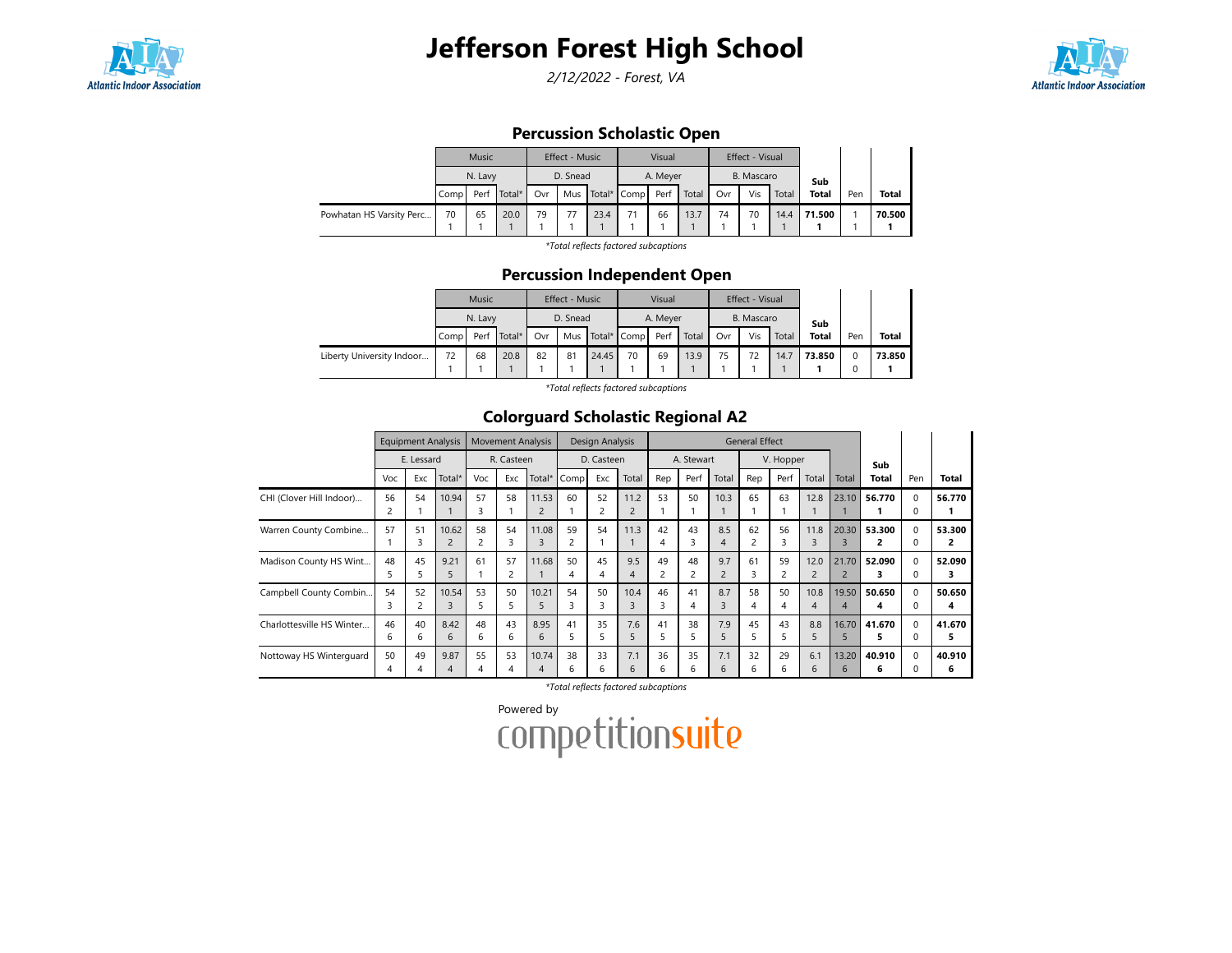

2/12/2022 - Forest, VA



## Percussion Scholastic Open

|                          |      | Music                     |      |     | Effect - Music |      |                 | Visual   |       |     | <b>Effect - Visual</b> |       |              |     |              |
|--------------------------|------|---------------------------|------|-----|----------------|------|-----------------|----------|-------|-----|------------------------|-------|--------------|-----|--------------|
|                          |      | N. Lavy<br>Total*<br>Perf |      |     | D. Snead       |      |                 | A. Meyer |       |     | B. Mascaro             |       | Sub          |     |              |
|                          | Comp |                           |      | Ovr |                |      | Mus Total* Comp | Perf     | Total | Ovr | Vis                    | Total | <b>Total</b> | Pen | <b>Total</b> |
| Powhatan HS Varsity Perc | 70   | 65                        | 20.0 | 79  | 77             | 23.4 | 71              | 66       | 13.7  | 74  | 70                     | 14.4  | 71.500       |     | 70.500       |
|                          |      |                           |      |     |                |      |                 |          |       |     |                        |       |              |     |              |

\*Total reflects factored subcaptions

### Percussion Independent Open

|                           |      | Music   |        |     | <b>Effect - Music</b> |                 |    | Visual   |       |     | Effect - Visual |       |              |     |        |
|---------------------------|------|---------|--------|-----|-----------------------|-----------------|----|----------|-------|-----|-----------------|-------|--------------|-----|--------|
|                           |      | N. Lavy |        |     | D. Snead              |                 |    | A. Meyer |       |     | B. Mascaro      |       | Sub          |     |        |
|                           | Comp | Perf    | Total* | Ovr |                       | Mus Total* Comp |    | Perf     | Total | Ovr | Vis             | Total | <b>Total</b> | Pen | Total  |
| Liberty University Indoor | 72   | 68      | 20.8   | 82  | 81                    | 24.45           | 70 | 69       | 13.9  | 75  | 72              | 14.7  | 73.850       |     | 73.850 |

\*Total reflects factored subcaptions

## Colorguard Scholastic Regional A2

|                           |         | <b>Equipment Analysis</b> |                         |         | <b>Movement Analysis</b> |            |             | Design Analysis |                        |         |            |                       | <b>General Effect</b> |                    |                        |                         |              |               |              |
|---------------------------|---------|---------------------------|-------------------------|---------|--------------------------|------------|-------------|-----------------|------------------------|---------|------------|-----------------------|-----------------------|--------------------|------------------------|-------------------------|--------------|---------------|--------------|
|                           |         | E. Lessard                |                         |         | R. Casteen               |            |             | D. Casteen      |                        |         | A. Stewart |                       |                       | V. Hopper          |                        |                         | Sub          |               |              |
|                           | Voc     | Exc                       | Total*                  | Voc     | Exc                      |            | Total* Comp | Exc             | Total                  | Rep     | Perf       | Total                 | Rep                   | Perf               | Total                  | Total                   | <b>Total</b> | Pen           | <b>Total</b> |
| CHI (Clover Hill Indoor)  | 56      | 54                        | 10.94                   | 57<br>3 | 58                       | 11.53      | 60          | 52<br>2         | 11.2<br>$\overline{2}$ | 53      | 50         | 10.3                  | 65                    | 63                 | 12.8                   | 23.10                   | 56.770       | $\Omega$      | 56.770       |
| Warren County Combine     | 57      | 51<br>3                   | 10.62<br>$\overline{c}$ | 58<br>2 | 54<br>3                  | 11.08<br>3 | 59          | 54              | 11.3                   | 42<br>4 | 43<br>3    | 8.5<br>4              | 62                    | 56<br>3            | 11.8<br>3              | 20.30<br>3              | 53.300<br>2  | $\Omega$<br>0 | 53.300<br>2  |
| Madison County HS Wint    | 48      | 45                        | 9.21<br>5               | 61      | 57<br>2                  | 11.68      | 50          | 45<br>4         | 9.5<br>4               | 49<br>2 | 48         | 9.7<br>$\overline{2}$ | 61                    | 59                 | 12.0<br>$\overline{2}$ | 21.70<br>$\overline{2}$ | 52.090<br>з  | $\Omega$      | 52.090<br>з  |
| Campbell County Combin    | 54      | 52                        | 10.54<br>3              | 53<br>5 | 50<br>5                  | 10.21      | 54          | 50<br>3         | 10.4<br>3              | 46<br>3 | 41<br>4    | 8.7<br>3              | 58<br>4               | 50<br>4            | 10.8<br>$\overline{4}$ | 19.50<br>4              | 50.650<br>4  | $\Omega$<br>0 | 50.650<br>4  |
| Charlottesville HS Winter | 46<br>ь | 40<br>6                   | 8.42<br>6               | 48<br>6 | 43<br>6                  | 8.95<br>6  | 41          | 35<br>5         | 7.6<br>5               | 41<br>5 | 38<br>5    | 7.9<br>5              | 45                    | 43<br>5            | 8.8<br>5               | 16.70<br>5              | 41.670<br>5  | $\Omega$      | 41.670<br>5  |
| Nottoway HS Winterguard   | 50<br>4 | 49                        | 9.87<br>4               | 55<br>4 | 53<br>4                  | 10.74<br>4 | 38<br>h     | 33<br>6         | 7.1<br>6               | 36<br>6 | 35<br>6    | 7.1<br>6              | 32<br>6               | 29<br><sub>b</sub> | 6.1<br>6               | 13.20<br>6              | 40.910<br>6  | $\Omega$      | 40.910<br>6  |

\*Total reflects factored subcaptions

Powered by<br>COMPetitionsuite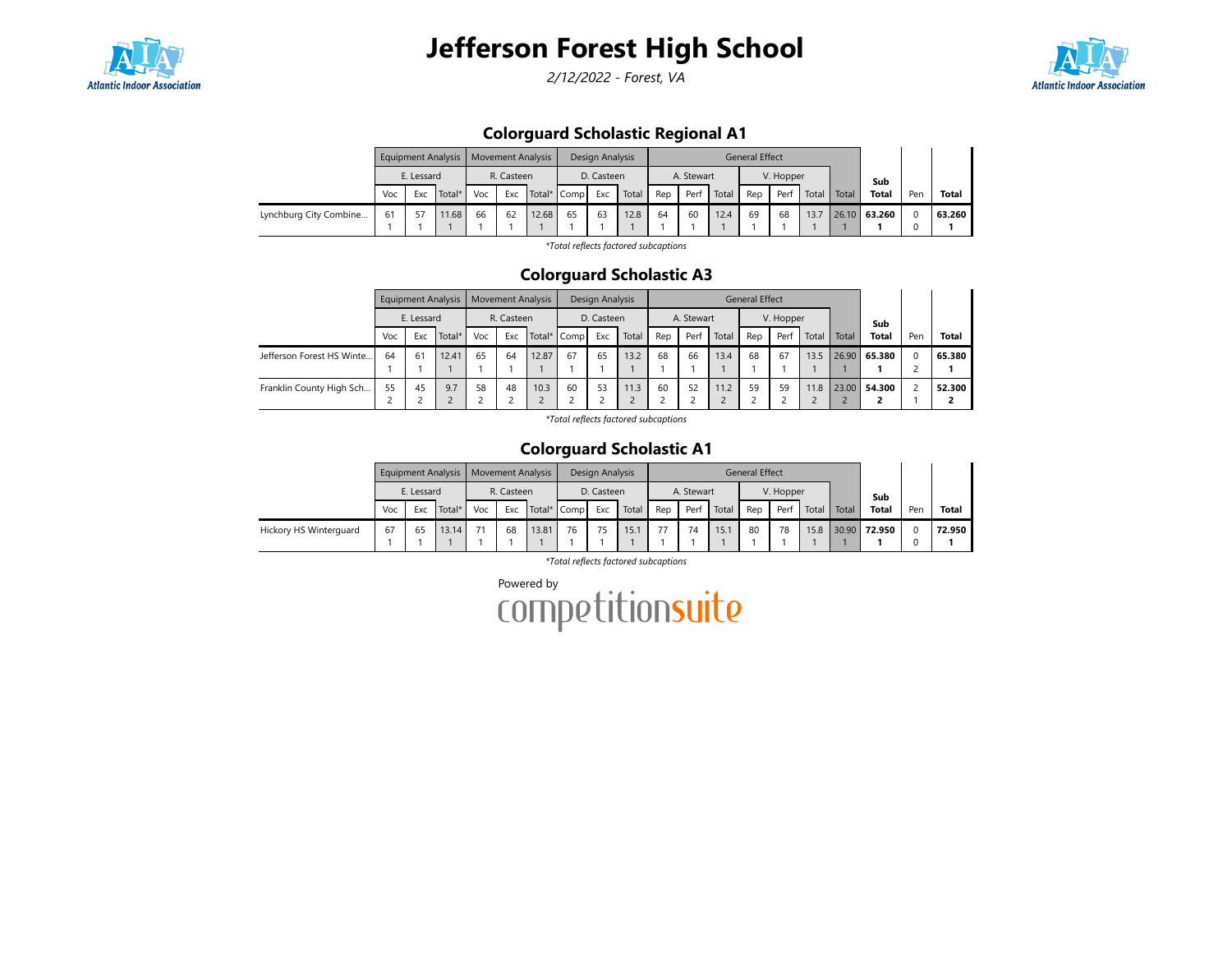

2/12/2022 - Forest, VA



## Colorguard Scholastic Regional A1

|                        |     |            | Equipment Analysis   Movement Analysis |     |                           |       |    | Design Analysis |       |     |            |       | General Effect |           |       |       |              |     |              |
|------------------------|-----|------------|----------------------------------------|-----|---------------------------|-------|----|-----------------|-------|-----|------------|-------|----------------|-----------|-------|-------|--------------|-----|--------------|
|                        |     | E. Lessard |                                        |     | R. Casteen<br>Total* Comp |       |    | D. Casteen      |       |     | A. Stewart |       |                | V. Hopper |       |       | Sub          |     |              |
|                        | Voc | Exc        | Total*                                 | Voc | Exc                       |       |    | Exc             | Total | Rep | Perf       | Total | Rep            | Perf      | Total | Total | <b>Total</b> | Pen | <b>Total</b> |
| Lynchburg City Combine | 61  |            | 11.68                                  | 66  | 62                        | 12.68 | 65 | 63              | 12.8  | 64  | 60         | 12.4  | 69             | 68        | 13.7  |       | 26.10 63.260 |     | 63.260       |
|                        |     |            |                                        |     |                           |       |    |                 |       |     |            |       |                |           |       |       |              |     |              |

\*Total reflects factored subcaptions

### Colorguard Scholastic A3

|                           |     | <b>Equipment Analysis</b> |        |     | <b>Movement Analysis</b>         |       |    | Design Analysis |       |     |            |       | <b>General Effect</b> |           |       |       |              |          |              |
|---------------------------|-----|---------------------------|--------|-----|----------------------------------|-------|----|-----------------|-------|-----|------------|-------|-----------------------|-----------|-------|-------|--------------|----------|--------------|
|                           |     | E. Lessard                |        |     | R. Casteen<br>Total* Comp<br>Exc |       |    | D. Casteen      |       |     | A. Stewart |       |                       | V. Hopper |       |       | Sub          |          |              |
|                           | Voc | Exc                       | Total* | Voc |                                  |       |    | Exc             | Total | Rep | Perf       | Total | Rep                   | Perf      | Total | Total | <b>Total</b> | Pen      | <b>Total</b> |
| Jefferson Forest HS Winte | 64  | 61                        | 12.41  | 65  | 64                               | 12.87 | 67 | 65              | 13.2  | 68  | 66         | 13.4  | 68                    | 67        | 13.5  |       | 26.90 65.380 | $\Omega$ | 65.380       |
|                           |     |                           |        |     |                                  |       |    |                 |       |     |            |       |                       |           |       |       |              |          |              |
| Franklin County High Sch  | 55  | 45                        | 9.7    | 58  | 48                               | 10.3  | 60 | 53              | 11.3  | 60  | 52         | 11.2  | 59                    | 59        | 11.8  |       | 23.00 54.300 |          | 52.300       |
|                           |     |                           |        |     |                                  |       |    |                 |       |     |            |       |                       |           |       |       |              |          |              |

\*Total reflects factored subcaptions

## Colorguard Scholastic A1

|                        |     |            | Equipment Analysis   Movement Analysis |     |                           |       |    | Design Analysis |       |     |            |       | <b>General Effect</b> |           |       |       |              |     |              |
|------------------------|-----|------------|----------------------------------------|-----|---------------------------|-------|----|-----------------|-------|-----|------------|-------|-----------------------|-----------|-------|-------|--------------|-----|--------------|
|                        |     | E. Lessard |                                        |     | R. Casteen<br>Total* Comp |       |    | D. Casteen      |       |     | A. Stewart |       |                       | V. Hopper |       |       | Sub          |     |              |
|                        | Voc | Exc        | Total*                                 | Voc | Exc                       |       |    | Exc             | Total | Rep | Perf       | Total | Rep                   | Perf      | Total | Total | <b>Total</b> | Pen | <b>Total</b> |
| Hickory HS Winterguard | 67  | 65         | 13.14                                  |     | 68                        | 13.81 | 76 | 75              | 15.1  | 77  | 74         | 15.1  | 80                    | 78        | 15.8  |       | 30.90 72.950 |     | 72.950       |
|                        |     |            |                                        |     |                           |       |    |                 |       |     |            |       |                       |           |       |       |              |     |              |

\*Total reflects factored subcaptions

Powered by<br>COMPETitionsuite